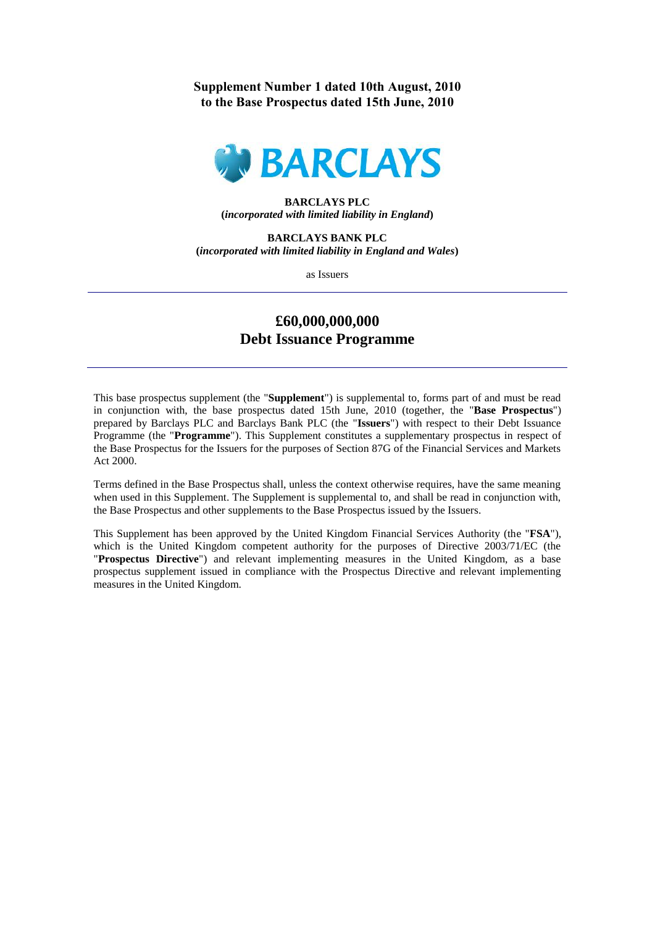# **Supplement Number 1 dated 10th August, 2010 to the Base Prospectus dated 15th June, 2010**



## **BARCLAYS PLC (***incorporated with limited liability in England***)**

**BARCLAYS BANK PLC (***incorporated with limited liability in England and Wales***)**

as Issuers

# **£60,000,000,000 Debt Issuance Programme**

This base prospectus supplement (the "**Supplement**") is supplemental to, forms part of and must be read in conjunction with, the base prospectus dated 15th June, 2010 (together, the "**Base Prospectus**") prepared by Barclays PLC and Barclays Bank PLC (the "**Issuers**") with respect to their Debt Issuance Programme (the "**Programme**"). This Supplement constitutes a supplementary prospectus in respect of the Base Prospectus for the Issuers for the purposes of Section 87G of the Financial Services and Markets Act 2000.

Terms defined in the Base Prospectus shall, unless the context otherwise requires, have the same meaning when used in this Supplement. The Supplement is supplemental to, and shall be read in conjunction with, the Base Prospectus and other supplements to the Base Prospectus issued by the Issuers.

This Supplement has been approved by the United Kingdom Financial Services Authority (the "**FSA**"), which is the United Kingdom competent authority for the purposes of Directive 2003/71/EC (the "**Prospectus Directive**") and relevant implementing measures in the United Kingdom, as a base prospectus supplement issued in compliance with the Prospectus Directive and relevant implementing measures in the United Kingdom.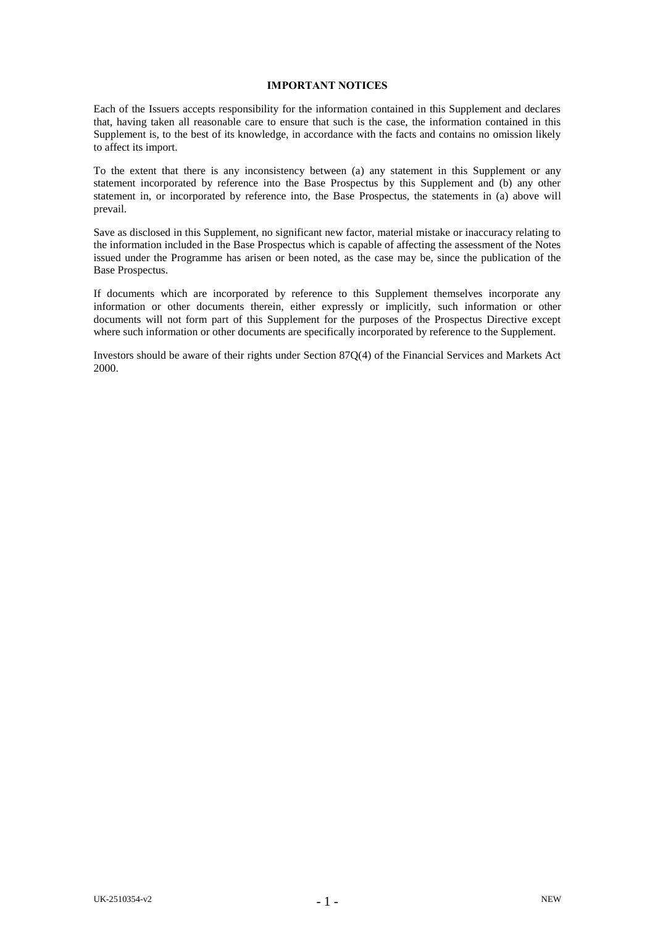#### **IMPORTANT NOTICES**

Each of the Issuers accepts responsibility for the information contained in this Supplement and declares that, having taken all reasonable care to ensure that such is the case, the information contained in this Supplement is, to the best of its knowledge, in accordance with the facts and contains no omission likely to affect its import.

To the extent that there is any inconsistency between (a) any statement in this Supplement or any statement incorporated by reference into the Base Prospectus by this Supplement and (b) any other statement in, or incorporated by reference into, the Base Prospectus, the statements in (a) above will prevail.

Save as disclosed in this Supplement, no significant new factor, material mistake or inaccuracy relating to the information included in the Base Prospectus which is capable of affecting the assessment of the Notes issued under the Programme has arisen or been noted, as the case may be, since the publication of the Base Prospectus.

If documents which are incorporated by reference to this Supplement themselves incorporate any information or other documents therein, either expressly or implicitly, such information or other documents will not form part of this Supplement for the purposes of the Prospectus Directive except where such information or other documents are specifically incorporated by reference to the Supplement.

Investors should be aware of their rights under Section 87Q(4) of the Financial Services and Markets Act 2000.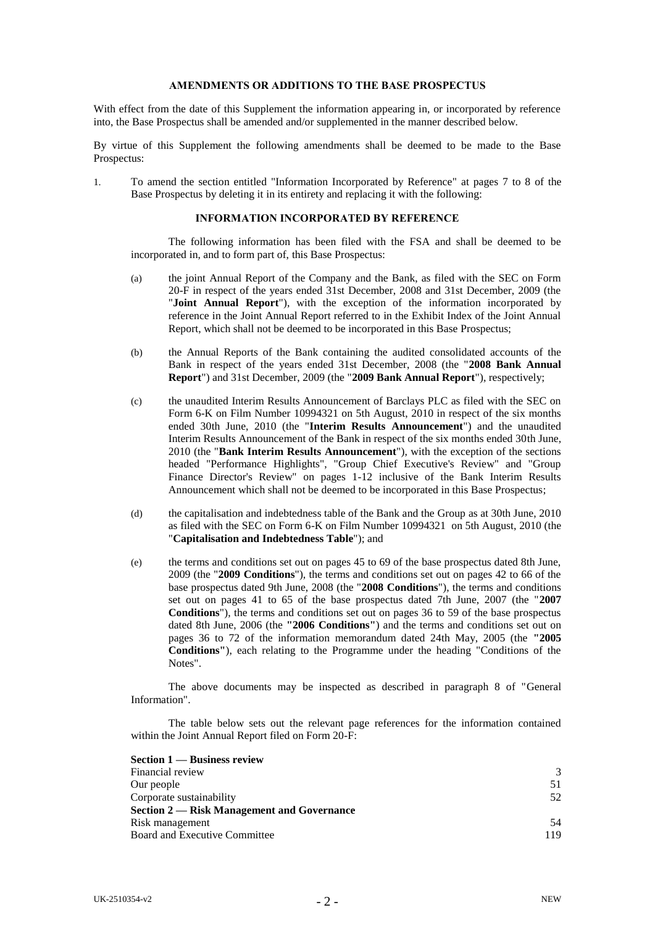#### **AMENDMENTS OR ADDITIONS TO THE BASE PROSPECTUS**

With effect from the date of this Supplement the information appearing in, or incorporated by reference into, the Base Prospectus shall be amended and/or supplemented in the manner described below.

By virtue of this Supplement the following amendments shall be deemed to be made to the Base Prospectus:

1. To amend the section entitled "Information Incorporated by Reference" at pages 7 to 8 of the Base Prospectus by deleting it in its entirety and replacing it with the following:

## **INFORMATION INCORPORATED BY REFERENCE**

The following information has been filed with the FSA and shall be deemed to be incorporated in, and to form part of, this Base Prospectus:

- (a) the joint Annual Report of the Company and the Bank, as filed with the SEC on Form 20-F in respect of the years ended 31st December, 2008 and 31st December, 2009 (the "**Joint Annual Report**"), with the exception of the information incorporated by reference in the Joint Annual Report referred to in the Exhibit Index of the Joint Annual Report, which shall not be deemed to be incorporated in this Base Prospectus;
- (b) the Annual Reports of the Bank containing the audited consolidated accounts of the Bank in respect of the years ended 31st December, 2008 (the "**2008 Bank Annual Report**") and 31st December, 2009 (the "**2009 Bank Annual Report**"), respectively;
- (c) the unaudited Interim Results Announcement of Barclays PLC as filed with the SEC on Form 6-K on Film Number 10994321 on 5th August, 2010 in respect of the six months ended 30th June, 2010 (the "**Interim Results Announcement**") and the unaudited Interim Results Announcement of the Bank in respect of the six months ended 30th June, 2010 (the "**Bank Interim Results Announcement**"), with the exception of the sections headed "Performance Highlights", "Group Chief Executive's Review" and "Group Finance Director's Review" on pages 1-12 inclusive of the Bank Interim Results Announcement which shall not be deemed to be incorporated in this Base Prospectus;
- (d) the capitalisation and indebtedness table of the Bank and the Group as at 30th June, 2010 as filed with the SEC on Form 6-K on Film Number 10994321 on 5th August, 2010 (the "**Capitalisation and Indebtedness Table**"); and
- (e) the terms and conditions set out on pages 45 to 69 of the base prospectus dated 8th June, 2009 (the "**2009 Conditions**"), the terms and conditions set out on pages 42 to 66 of the base prospectus dated 9th June, 2008 (the "**2008 Conditions**"), the terms and conditions set out on pages 41 to 65 of the base prospectus dated 7th June, 2007 (the "**2007 Conditions**"), the terms and conditions set out on pages 36 to 59 of the base prospectus dated 8th June, 2006 (the **"2006 Conditions"**) and the terms and conditions set out on pages 36 to 72 of the information memorandum dated 24th May, 2005 (the **"2005 Conditions"**), each relating to the Programme under the heading "Conditions of the Notes".

The above documents may be inspected as described in paragraph 8 of "General Information".

The table below sets out the relevant page references for the information contained within the Joint Annual Report filed on Form 20-F:

| Section 1 — Business review                |               |
|--------------------------------------------|---------------|
| Financial review                           | $\mathcal{R}$ |
| Our people                                 | 51            |
| Corporate sustainability                   | 52            |
| Section 2 — Risk Management and Governance |               |
| Risk management                            | 54            |
| <b>Board and Executive Committee</b>       | 119           |